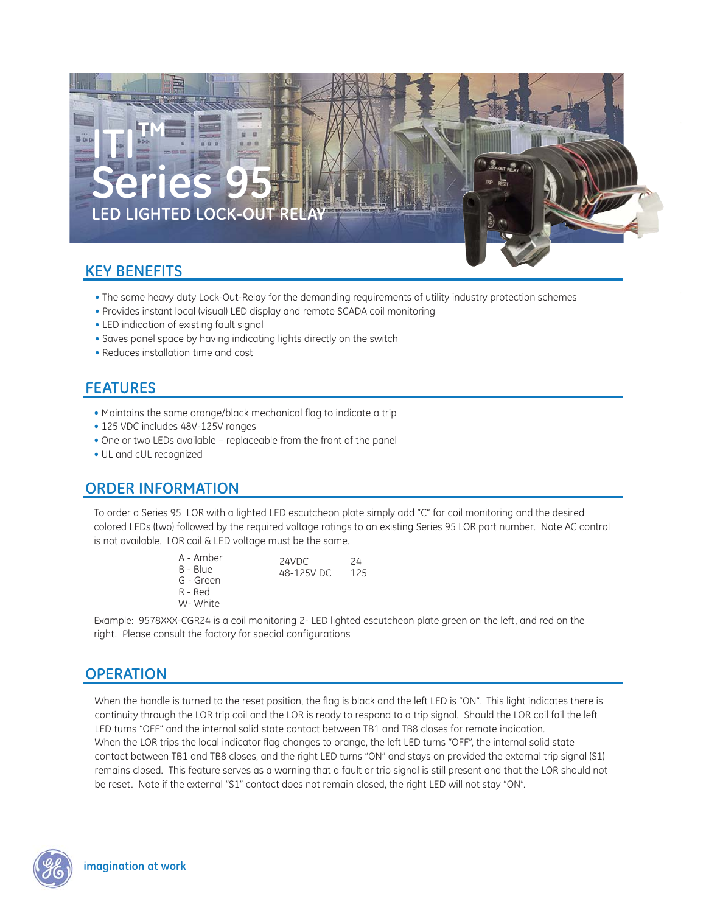

## **KEY BENEFITS**

- The same heavy duty Lock-Out-Relay for the demanding requirements of utility industry protection schemes
- Provides instant local (visual) LED display and remote SCADA coil monitoring
- LED indication of existing fault signal
- Saves panel space by having indicating lights directly on the switch
- Reduces installation time and cost

## **FEATURES**

- Maintains the same orange/black mechanical flag to indicate a trip
- 125 VDC includes 48V-125V ranges
- One or two LEDs available replaceable from the front of the panel
- UL and cUL recognized

# **ORDER INFORMATION**

To order a Series 95 LOR with a lighted LED escutcheon plate simply add "C" for coil monitoring and the desired colored LEDs (two) followed by the required voltage ratings to an existing Series 95 LOR part number. Note AC control is not available. LOR coil & LED voltage must be the same.

- A Amber B - Blue G - Green 24VDC 24<br>48-125V DC 125 48-125V DC
- R Red W- White
- 

Example: 9578XXX-CGR24 is a coil monitoring 2- LED lighted escutcheon plate green on the left, and red on the right. Please consult the factory for special configurations

## **OPERATION**

When the handle is turned to the reset position, the flag is black and the left LED is "ON". This light indicates there is continuity through the LOR trip coil and the LOR is ready to respond to a trip signal. Should the LOR coil fail the left LED turns "OFF" and the internal solid state contact between TB1 and TB8 closes for remote indication. When the LOR trips the local indicator flag changes to orange, the left LED turns "OFF", the internal solid state contact between TB1 and TB8 closes, and the right LED turns "ON" and stays on provided the external trip signal (S1) remains closed. This feature serves as a warning that a fault or trip signal is still present and that the LOR should not be reset. Note if the external "S1" contact does not remain closed, the right LED will not stay "ON".